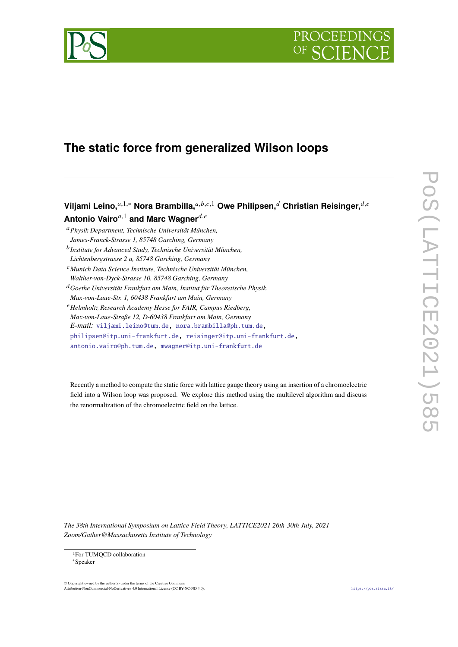



# **The static force from generalized Wilson loops**

**Viljami Leino,**<sup>*a*,1,∗</sup> Nora Brambilla,<sup>*a,b,c,*1</sup> Owe Philipsen,<sup>*d*</sup> Christian Reisinger,<sup>*d,e*</sup> **Antonio Vairo** $a,1}$  and Marc Wagner $d,e$ 

<sup>𝑎</sup>*Physik Department, Technische Universität München, James-Franck-Strasse 1, 85748 Garching, Germany*

<sup>b</sup> Institute for Advanced Study, Technische Universität München,

*Lichtenbergstrasse 2 a, 85748 Garching, Germany* <sup>𝑐</sup>*Munich Data Science Institute, Technische Universität München,*

*Walther-von-Dyck-Strasse 10, 85748 Garching, Germany*

<sup>𝑑</sup>*Goethe Universität Frankfurt am Main, Institut für Theoretische Physik,*

*Max-von-Laue-Str. 1, 60438 Frankfurt am Main, Germany*

<sup>𝑒</sup>*Helmholtz Research Academy Hesse for FAIR, Campus Riedberg,*

*Max-von-Laue-Straße 12, D-60438 Frankfurt am Main, Germany*

*E-mail:* [viljami.leino@tum.de,](mailto:viljami.leino@tum.de) [nora.brambilla@ph.tum.de,](mailto:nora.brambilla@ph.tum.de)

[philipsen@itp.uni-frankfurt.de,](mailto:philipsen@itp.uni-frankfurt.de) [reisinger@itp.uni-frankfurt.de,](mailto:reisinger@itp.uni-frankfurt.de)

[antonio.vairo@ph.tum.de,](mailto:antonio.vairo@ph.tum.de) [mwagner@itp.uni-frankfurt.de](mailto:mwagner@itp.uni-frankfurt.de)

Recently a method to compute the static force with lattice gauge theory using an insertion of a chromoelectric field into a Wilson loop was proposed. We explore this method using the multilevel algorithm and discuss the renormalization of the chromoelectric field on the lattice.

 $\overline{\mathsf{L}}$ 

*The 38th International Symposium on Lattice Field Theory, LATTICE2021 26th-30th July, 2021 Zoom/Gather@Massachusetts Institute of Technology*

1For TUMQCD collaboration ∗Speaker

© Copyright owned by the author(s) under the terms of the Creative Commons Attribution-NonCommercial-NoDerivatives 4.0 International License (CC BY-NC-ND 4.0). <https://pos.sissa.it/>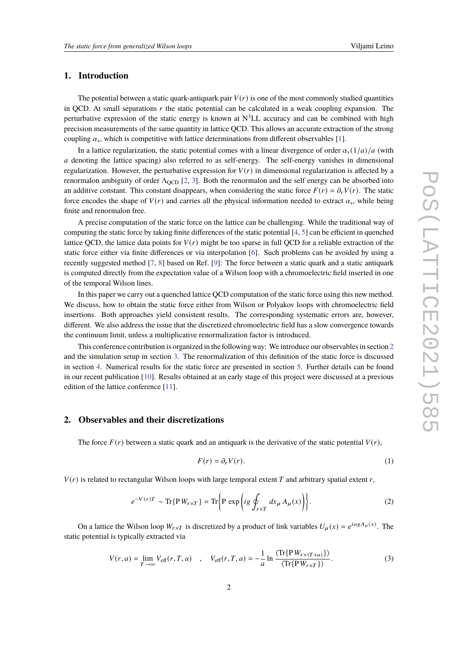## **1. Introduction**

The potential between a static quark-antiquark pair  $V(r)$  is one of the most commonly studied quantities in QCD. At small separations  $r$  the static potential can be calculated in a weak coupling expansion. The perturbative expression of the static energy is known at  $N^3LL$  accuracy and can be combined with high precision measurements of the same quantity in lattice QCD. This allows an accurate extraction of the strong coupling  $\alpha_s$ , which is competitive with lattice determinations from different observables [\[1\]](#page-5-0).

In a lattice regularization, the static potential comes with a linear divergence of order  $\alpha_s(1/a)/a$  (with a denoting the lattice spacing) also referred to as self-energy. The self-energy vanishes in dimensional regularization. However, the perturbative expression for  $V(r)$  in dimensional regularization is affected by a renormalon ambiguity of order  $\Lambda_{\text{QCD}}$  [\[2,](#page-5-1) [3\]](#page-5-2). Both the renormalon and the self energy can be absorbed into an additive constant. This constant disappears, when considering the static force  $F(r) = \partial_r V(r)$ . The static force encodes the shape of  $V(r)$  and carries all the physical information needed to extract  $\alpha_s$ , while being finite and renormalon free.

A precise computation of the static force on the lattice can be challenging. While the traditional way of computing the static force by taking finite differences of the static potential [\[4,](#page-5-3) [5\]](#page-5-4) can be efficient in quenched lattice QCD, the lattice data points for  $V(r)$  might be too sparse in full QCD for a reliable extraction of the static force either via finite differences or via interpolation [\[6\]](#page-5-5). Such problems can be avoided by using a recently suggested method [\[7,](#page-6-0) [8\]](#page-6-1) based on Ref. [\[9\]](#page-6-2): The force between a static quark and a static antiquark is computed directly from the expectation value of a Wilson loop with a chromoelectric field inserted in one of the temporal Wilson lines.

In this paper we carry out a quenched lattice QCD computation of the static force using this new method. We discuss, how to obtain the static force either from Wilson or Polyakov loops with chromoelectric field insertions. Both approaches yield consistent results. The corresponding systematic errors are, however, different. We also address the issue that the discretized chromoelectric field has a slow convergence towards the continuum limit, unless a multiplicative renormalization factor is introduced.

This conference contribution is organized in the following way: We introduce our observables in section [2](#page-1-0) and the simulation setup in section [3.](#page-3-0) The renormalization of this definition of the static force is discussed in section [4.](#page-3-1) Numerical results for the static force are presented in section [5.](#page-4-0) Further details can be found in our recent publication [\[10\]](#page-6-3). Results obtained at an early stage of this project were discussed at a previous edition of the lattice conference [\[11\]](#page-6-4).

## <span id="page-1-0"></span>**2. Observables and their discretizations**

The force  $F(r)$  between a static quark and an antiquark is the derivative of the static potential  $V(r)$ ,

$$
F(r) = \partial_r V(r). \tag{1}
$$

 $V(r)$  is related to rectangular Wilson loops with large temporal extent T and arbitrary spatial extent r,

$$
e^{-V(r)T} \sim \text{Tr}\{\mathbf{P}W_{r\times T}\} = \text{Tr}\left\{\mathbf{P}\exp\left(ig\oint_{r\times T} dx_{\mu} A_{\mu}(x)\right)\right\}.
$$
 (2)

On a lattice the Wilson loop  $W_{r \times T}$  is discretized by a product of link variables  $U_{\mu}(x) = e^{i a g A_{\mu}(x)}$ . The static potential is typically extracted via

$$
V(r,a) = \lim_{T \to \infty} V_{\text{eff}}(r,T,a) \quad , \quad V_{\text{eff}}(r,T,a) = -\frac{1}{a} \ln \frac{\langle \text{Tr}\{\text{P} \, W_{r \times (T+a)}\} \rangle}{\langle \text{Tr}\{\text{P} \, W_{r \times T}\} \rangle}. \tag{3}
$$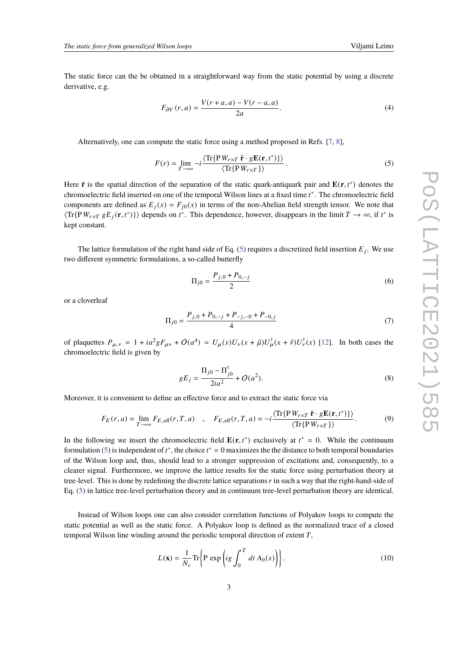The static force can the be obtained in a straightforward way from the static potential by using a discrete derivative, e.g.

<span id="page-2-2"></span>
$$
F_{\partial V}(r,a) = \frac{V(r+a,a) - V(r-a,a)}{2a}.\tag{4}
$$

Alternatively, one can compute the static force using a method proposed in Refs. [\[7,](#page-6-0) [8\]](#page-6-1),

<span id="page-2-0"></span>
$$
F(r) = \lim_{T \to \infty} -i \frac{\langle \text{Tr}\{ \mathbf{P} \, W_{r \times T} \, \hat{\mathbf{r}} \cdot g \mathbf{E}(\mathbf{r}, t^*) \} \rangle}{\langle \text{Tr}\{ \mathbf{P} \, W_{r \times T} \} \rangle}.
$$
 (5)

Here  $\hat{\mathbf{r}}$  is the spatial direction of the separation of the static quark-antiquark pair and  $\mathbf{E}(\mathbf{r}, t^*)$  denotes the chromoelectric field inserted on one of the temporal Wilson lines at a fixed time  $t^*$ . The chromoelectric field components are defined as  $E_j(x) = F_{j0}(x)$  in terms of the non-Abelian field strength tensor. We note that  $\langle \text{Tr}\{\text{P} W_{r \times T} g E_j(\mathbf{r}, t^*)\} \rangle$  depends on  $t^*$ . This dependence, however, disappears in the limit  $T \to \infty$ , if  $t^*$  is kept constant.

The lattice formulation of the right hand side of Eq. [\(5\)](#page-2-0) requires a discretized field insertion  $E_i$ . We use two different symmetric formulations, a so-called butterfly

$$
\Pi_{j0} = \frac{P_{j,0} + P_{0,-j}}{2} \tag{6}
$$

or a cloverleaf

$$
\Pi_{j0} = \frac{P_{j,0} + P_{0,-j} + P_{-j,-0} + P_{-0,j}}{4} \tag{7}
$$

of plaquettes  $P_{\mu,\nu} = 1 + ia^2 g F_{\mu\nu} + O(a^4) = U_\mu(x) U_\nu(x + \hat{\mu}) U_\mu^\dagger(x + \hat{\nu}) U_\nu^\dagger(x)$  [\[12\]](#page-6-5). In both cases the chromoelectric field is given by

$$
gE_j = \frac{\Pi_{j0} - \Pi_{j0}^{\dagger}}{2ia^2} + O(a^2).
$$
 (8)

Moreover, it is convenient to define an effective force and to extract the static force via

<span id="page-2-1"></span>
$$
F_E(r, a) = \lim_{T \to \infty} F_{E, \text{eff}}(r, T, a) \quad , \quad F_{E, \text{eff}}(r, T, a) = -i \frac{\langle \text{Tr}\{P W_{r \times T} \hat{\mathbf{r}} \cdot g \mathbf{E}(\mathbf{r}, t^*)\} \rangle}{\langle \text{Tr}\{P W_{r \times T}\} \rangle}.
$$
 (9)

In the following we insert the chromoelectric field  $\mathbf{E}(\mathbf{r}, t^*)$  exclusively at  $t^* = 0$ . While the continuum formulation [\(5\)](#page-2-0) is independent of  $t^*$ , the choice  $t^* = 0$  maximizes the the distance to both temporal boundaries of the Wilson loop and, thus, should lead to a stronger suppression of excitations and, consequently, to a clearer signal. Furthermore, we improve the lattice results for the static force using perturbation theory at tree-level. This is done by redefining the discrete lattice separations  $r$  in such a way that the right-hand-side of Eq. [\(5\)](#page-2-0) in lattice tree-level perturbation theory and in continuum tree-level perturbation theory are identical.

Instead of Wilson loops one can also consider correlation functions of Polyakov loops to compute the static potential as well as the static force. A Polyakov loop is defined as the normalized trace of a closed temporal Wilson line winding around the periodic temporal direction of extent  $T$ ,

$$
L(\mathbf{x}) = \frac{1}{N_c} \text{Tr} \left\{ \mathbf{P} \exp \left( ig \int_0^T dt A_0(x) \right) \right\}.
$$
 (10)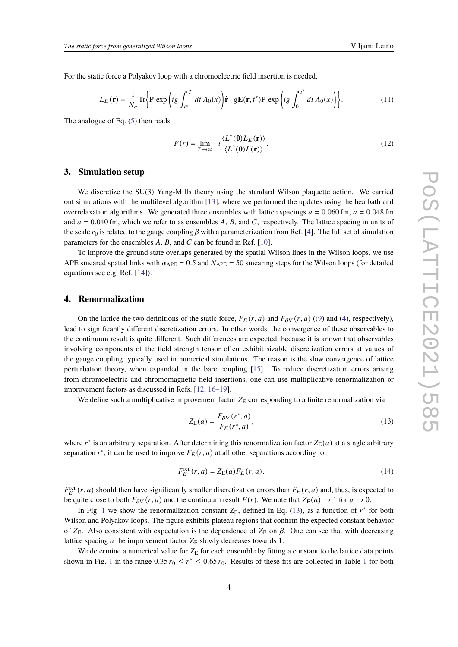For the static force a Polyakov loop with a chromoelectric field insertion is needed,

$$
L_E(\mathbf{r}) = \frac{1}{N_c} \text{Tr} \left\{ \mathbf{P} \exp \left( ig \int_{t^*}^T dt \, A_0(x) \right) \hat{\mathbf{r}} \cdot g \mathbf{E}(\mathbf{r}, t^*) \mathbf{P} \exp \left( ig \int_0^{t^*} dt \, A_0(x) \right) \right\}.
$$
 (11)

The analogue of Eq. [\(5\)](#page-2-0) then reads

$$
F(r) = \lim_{T \to \infty} -i \frac{\langle L^{\dagger}(\mathbf{0}) L_E(\mathbf{r}) \rangle}{\langle L^{\dagger}(\mathbf{0}) L(\mathbf{r}) \rangle}.
$$
 (12)

#### <span id="page-3-0"></span>**3. Simulation setup**

We discretize the SU(3) Yang-Mills theory using the standard Wilson plaquette action. We carried out simulations with the multilevel algorithm [\[13\]](#page-6-6), where we performed the updates using the heatbath and overrelaxation algorithms. We generated three ensembles with lattice spacings  $a = 0.060$  fm,  $a = 0.048$  fm and  $a = 0.040$  fm, which we refer to as ensembles A, B, and C, respectively. The lattice spacing in units of the scale  $r_0$  is related to the gauge coupling  $\beta$  with a parameterization from Ref. [\[4\]](#page-5-3). The full set of simulation parameters for the ensembles  $A$ ,  $B$ , and  $C$  can be found in Ref. [\[10\]](#page-6-3).

To improve the ground state overlaps generated by the spatial Wilson lines in the Wilson loops, we use APE smeared spatial links with  $\alpha_{\text{APE}} = 0.5$  and  $N_{\text{APE}} = 50$  smearing steps for the Wilson loops (for detailed equations see e.g. Ref. [\[14\]](#page-6-7)).

#### <span id="page-3-1"></span>**4. Renormalization**

On the lattice the two definitions of the static force,  $F_E(r, a)$  and  $F_{\partial V}(r, a)$  ([\(9\)](#page-2-1) and [\(4\)](#page-2-2), respectively), lead to significantly different discretization errors. In other words, the convergence of these observables to the continuum result is quite different. Such differences are expected, because it is known that observables involving components of the field strength tensor often exhibit sizable discretization errors at values of the gauge coupling typically used in numerical simulations. The reason is the slow convergence of lattice perturbation theory, when expanded in the bare coupling [\[15\]](#page-6-8). To reduce discretization errors arising from chromoelectric and chromomagnetic field insertions, one can use multiplicative renormalization or improvement factors as discussed in Refs. [\[12,](#page-6-5) [16](#page-6-9)[–19\]](#page-6-10).

We define such a multiplicative improvement factor  $Z_{\rm E}$  corresponding to a finite renormalization via

<span id="page-3-2"></span>
$$
Z_{\mathcal{E}}(a) = \frac{F_{\partial V}(r^*, a)}{F_E(r^*, a)},\tag{13}
$$

where  $r^*$  is an arbitrary separation. After determining this renormalization factor  $Z_E(a)$  at a single arbitrary separation  $r^*$ , it can be used to improve  $F_E(r, a)$  at all other separations according to

$$
F_E^{\text{ren}}(r,a) = Z_{\text{E}}(a) F_E(r,a). \tag{14}
$$

 $F_E^{\text{ren}}(r, a)$  should then have significantly smaller discretization errors than  $F_E(r, a)$  and, thus, is expected to be quite close to both  $F_{\partial V}(r, a)$  and the continuum result  $F(r)$ . We note that  $Z_{E}(a) \rightarrow 1$  for  $a \rightarrow 0$ .

In Fig. [1](#page-4-1) we show the renormalization constant  $Z_{\rm E}$ , defined in Eq. [\(13\)](#page-3-2), as a function of  $r^*$  for both Wilson and Polyakov loops. The figure exhibits plateau regions that confirm the expected constant behavior of  $Z_E$ . Also consistent with expectation is the dependence of  $Z_E$  on  $\beta$ . One can see that with decreasing lattice spacing  $a$  the improvement factor  $Z_E$  slowly decreases towards 1.

We determine a numerical value for  $Z_{\rm E}$  for each ensemble by fitting a constant to the lattice data points shown in Fig. [1](#page-4-2) in the range  $0.35 r_0 \le r^* \le 0.65 r_0$ . Results of these fits are collected in Table 1 for both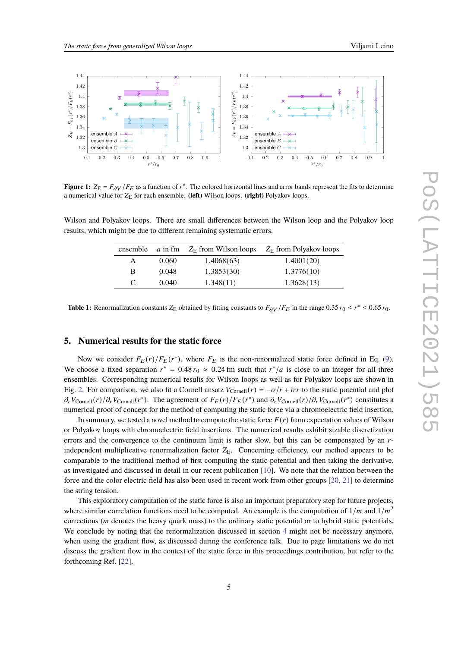<span id="page-4-1"></span>

**Figure 1:**  $Z_E = F_{\partial V}/F_E$  as a function of  $r^*$ . The colored horizontal lines and error bands represent the fits to determine a numerical value for  $Z_E$  for each ensemble. (left) Wilson loops. (right) Polyakov loops.

<span id="page-4-2"></span>Wilson and Polyakov loops. There are small differences between the Wilson loop and the Polyakov loop results, which might be due to different remaining systematic errors.

|   |       | ensemble $a$ in fm $Z_F$ from Wilson loops | $Z_{\rm E}$ from Polyakov loops |
|---|-------|--------------------------------------------|---------------------------------|
| A | 0.060 | 1.4068(63)                                 | 1.4001(20)                      |
| B | 0.048 | 1.3853(30)                                 | 1.3776(10)                      |
| C | 0.040 | 1.348(11)                                  | 1.3628(13)                      |

**Table 1:** Renormalization constants  $Z_E$  obtained by fitting constants to  $F_{\partial V}/F_E$  in the range 0.35  $r_0 \le r^* \le 0.65 r_0$ .

# <span id="page-4-0"></span>**5. Numerical results for the static force**

Now we consider  $F_E(r)/F_E(r^*)$ , where  $F_E$  is the non-renormalized static force defined in Eq. [\(9\)](#page-2-1). We choose a fixed separation  $r^* = 0.48 r_0 \approx 0.24$  fm such that  $r^* / a$  is close to an integer for all three ensembles. Corresponding numerical results for Wilson loops as well as for Polyakov loops are shown in Fig. [2.](#page-5-6) For comparison, we also fit a Cornell ansatz  $V_{\text{Cornell}}(r) = -\alpha/r + \sigma r$  to the static potential and plot  $\partial_r V_{\text{Cornell}}(r) / \partial_r V_{\text{Cornell}}(r^*)$ . The agreement of  $F_E(r) / F_E(r^*)$  and  $\partial_r V_{\text{Cornell}}(r) / \partial_r V_{\text{Cornell}}(r^*)$  constitutes a numerical proof of concept for the method of computing the static force via a chromoelectric field insertion.

In summary, we tested a novel method to compute the static force  $F(r)$  from expectation values of Wilson or Polyakov loops with chromoelectric field insertions. The numerical results exhibit sizable discretization errors and the convergence to the continuum limit is rather slow, but this can be compensated by an  $r$ independent multiplicative renormalization factor  $Z_F$ . Concerning efficiency, our method appears to be comparable to the traditional method of first computing the static potential and then taking the derivative, as investigated and discussed in detail in our recent publication [\[10\]](#page-6-3). We note that the relation between the force and the color electric field has also been used in recent work from other groups [\[20,](#page-6-11) [21\]](#page-6-12) to determine the string tension.

This exploratory computation of the static force is also an important preparatory step for future projects, where similar correlation functions need to be computed. An example is the computation of  $1/m$  and  $1/m<sup>2</sup>$ corrections ( *denotes the heavy quark mass) to the ordinary static potential or to hybrid static potentials.* We conclude by noting that the renormalization discussed in section [4](#page-3-1) might not be necessary anymore, when using the gradient flow, as discussed during the conference talk. Due to page limitations we do not discuss the gradient flow in the context of the static force in this proceedings contribution, but refer to the forthcoming Ref. [\[22\]](#page-6-13).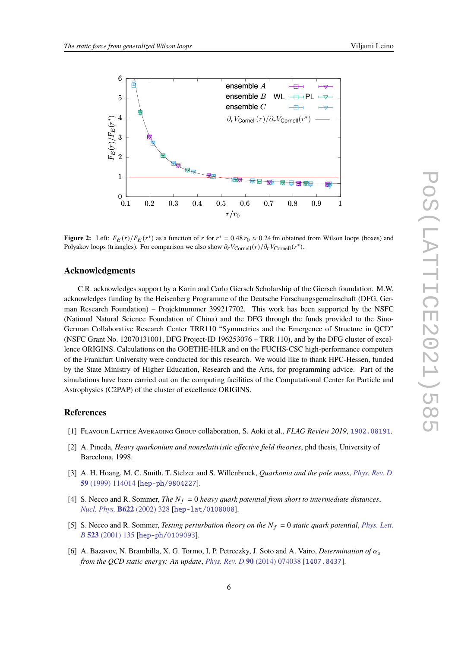<span id="page-5-6"></span>

**Figure 2:** Left:  $F_E(r)/F_E(r^*)$  as a function of r for  $r^* = 0.48 r_0 \approx 0.24$  fm obtained from Wilson loops (boxes) and Polyakov loops (triangles). For comparison we also show  $\partial_r V_{\text{Cornell}}(r)/\partial_r V_{\text{Cornell}}(r^*)$ .

### **Acknowledgments**

C.R. acknowledges support by a Karin and Carlo Giersch Scholarship of the Giersch foundation. M.W. acknowledges funding by the Heisenberg Programme of the Deutsche Forschungsgemeinschaft (DFG, German Research Foundation) – Projektnummer 399217702. This work has been supported by the NSFC (National Natural Science Foundation of China) and the DFG through the funds provided to the Sino-German Collaborative Research Center TRR110 "Symmetries and the Emergence of Structure in QCD" (NSFC Grant No. 12070131001, DFG Project-ID 196253076 – TRR 110), and by the DFG cluster of excellence ORIGINS. Calculations on the GOETHE-HLR and on the FUCHS-CSC high-performance computers of the Frankfurt University were conducted for this research. We would like to thank HPC-Hessen, funded by the State Ministry of Higher Education, Research and the Arts, for programming advice. Part of the simulations have been carried out on the computing facilities of the Computational Center for Particle and Astrophysics (C2PAP) of the cluster of excellence ORIGINS.

#### **References**

- <span id="page-5-0"></span>[1] Flavour Lattice Averaging Group collaboration, S. Aoki et al., *FLAG Review 2019*, [1902.08191](https://arxiv.org/abs/1902.08191).
- <span id="page-5-1"></span>[2] A. Pineda, *Heavy quarkonium and nonrelativistic effective field theories*, phd thesis, University of Barcelona, 1998.
- <span id="page-5-2"></span>[3] A. H. Hoang, M. C. Smith, T. Stelzer and S. Willenbrock, *Quarkonia and the pole mass*, *[Phys. Rev. D](https://doi.org/10.1103/PhysRevD.59.114014)* **59** [\(1999\) 114014](https://doi.org/10.1103/PhysRevD.59.114014) [[hep-ph/9804227](https://arxiv.org/abs/hep-ph/9804227)].
- <span id="page-5-3"></span>[4] S. Necco and R. Sommer, *The*  $N_f = 0$  *heavy quark potential from short to intermediate distances*, *[Nucl. Phys.](https://doi.org/10.1016/S0550-3213(01)00582-X)* **B622** (2002) 328 [[hep-lat/0108008](https://arxiv.org/abs/hep-lat/0108008)].
- <span id="page-5-4"></span>[5] S. Necco and R. Sommer, *Testing perturbation theory on the*  $N_f = 0$  *static quark potential*, *[Phys. Lett.](https://doi.org/10.1016/S0370-2693(01)01298-9) B* **523** [\(2001\) 135](https://doi.org/10.1016/S0370-2693(01)01298-9) [[hep-ph/0109093](https://arxiv.org/abs/hep-ph/0109093)].
- <span id="page-5-5"></span>[6] A. Bazavov, N. Brambilla, X. G. Tormo, I. P. Petreczky, J. Soto and A. Vairo, *Determination of*  $\alpha_s$ *from the QCD static energy: An update*, *[Phys. Rev. D](https://doi.org/10.1103/PhysRevD.90.074038)* **90** (2014) 074038 [[1407.8437](https://arxiv.org/abs/1407.8437)].